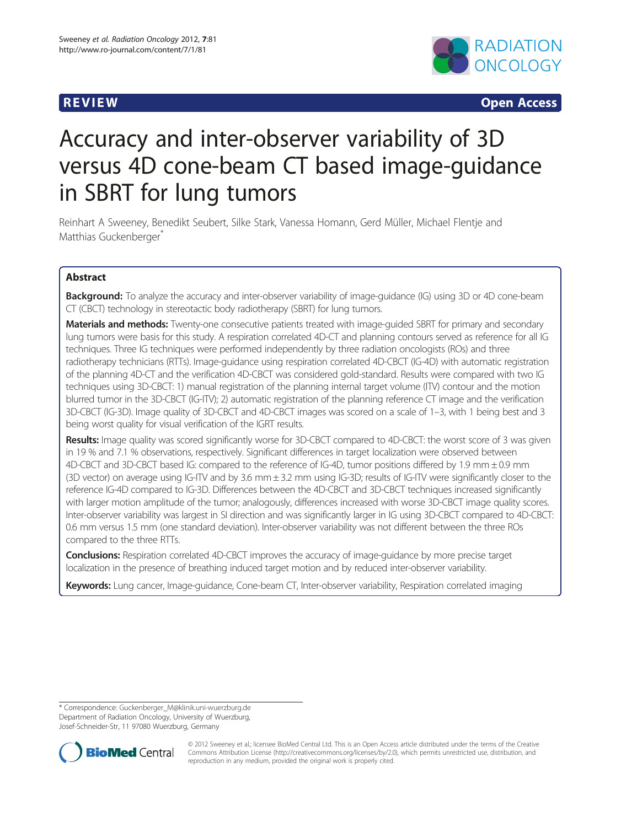

R EVI EW Open Access

# Accuracy and inter-observer variability of 3D versus 4D cone-beam CT based image-guidance in SBRT for lung tumors

Reinhart A Sweeney, Benedikt Seubert, Silke Stark, Vanessa Homann, Gerd Müller, Michael Flentje and Matthias Guckenberger<sup>\*</sup>

# Abstract

**Background:** To analyze the accuracy and inter-observer variability of image-quidance (IG) using 3D or 4D cone-beam CT (CBCT) technology in stereotactic body radiotherapy (SBRT) for lung tumors.

**Materials and methods:** Twenty-one consecutive patients treated with image-guided SBRT for primary and secondary lung tumors were basis for this study. A respiration correlated 4D-CT and planning contours served as reference for all IG techniques. Three IG techniques were performed independently by three radiation oncologists (ROs) and three radiotherapy technicians (RTTs). Image-guidance using respiration correlated 4D-CBCT (IG-4D) with automatic registration of the planning 4D-CT and the verification 4D-CBCT was considered gold-standard. Results were compared with two IG techniques using 3D-CBCT: 1) manual registration of the planning internal target volume (ITV) contour and the motion blurred tumor in the 3D-CBCT (IG-ITV); 2) automatic registration of the planning reference CT image and the verification 3D-CBCT (IG-3D). Image quality of 3D-CBCT and 4D-CBCT images was scored on a scale of 1–3, with 1 being best and 3 being worst quality for visual verification of the IGRT results.

Results: Image quality was scored significantly worse for 3D-CBCT compared to 4D-CBCT: the worst score of 3 was given in 19 % and 7.1 % observations, respectively. Significant differences in target localization were observed between 4D-CBCT and 3D-CBCT based IG: compared to the reference of IG-4D, tumor positions differed by 1.9 mm ± 0.9 mm (3D vector) on average using IG-ITV and by 3.6 mm ± 3.2 mm using IG-3D; results of IG-ITV were significantly closer to the reference IG-4D compared to IG-3D. Differences between the 4D-CBCT and 3D-CBCT techniques increased significantly with larger motion amplitude of the tumor; analogously, differences increased with worse 3D-CBCT image quality scores. Inter-observer variability was largest in SI direction and was significantly larger in IG using 3D-CBCT compared to 4D-CBCT: 0.6 mm versus 1.5 mm (one standard deviation). Inter-observer variability was not different between the three ROs compared to the three RTTs.

Conclusions: Respiration correlated 4D-CBCT improves the accuracy of image-guidance by more precise target localization in the presence of breathing induced target motion and by reduced inter-observer variability.

Keywords: Lung cancer, Image-guidance, Cone-beam CT, Inter-observer variability, Respiration correlated imaging

\* Correspondence: [Guckenberger\\_M@klinik.uni-wuerzburg.de](mailto:Guckenberger_M@klinik.uni-wuerzburg.de) Department of Radiation Oncology, University of Wuerzburg, Josef-Schneider-Str, 11 97080 Wuerzburg, Germany



© 2012 Sweeney et al.; licensee BioMed Central Ltd. This is an Open Access article distributed under the terms of the Creative Commons Attribution License [\(http://creativecommons.org/licenses/by/2.0\)](http://creativecommons.org/licenses/by/2.0), which permits unrestricted use, distribution, and reproduction in any medium, provided the original work is properly cited.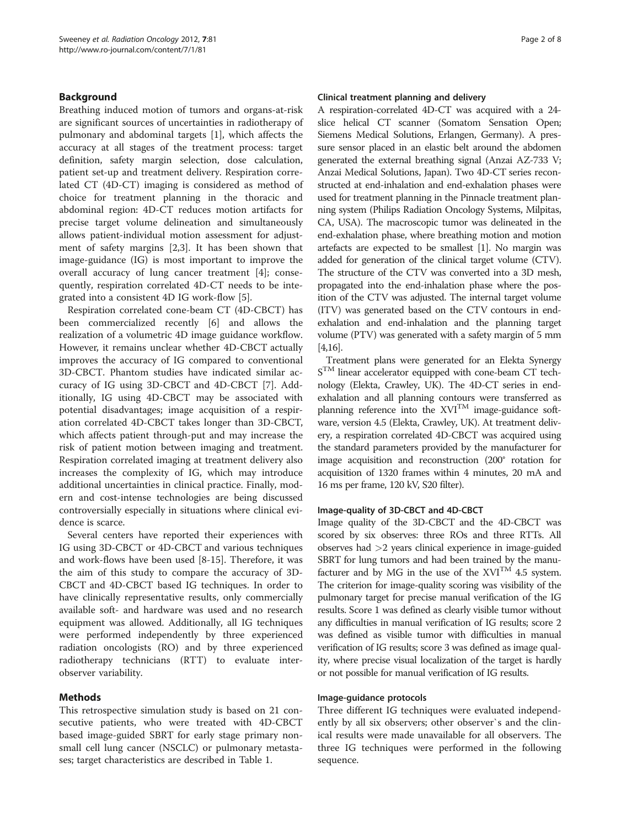# Background

Breathing induced motion of tumors and organs-at-risk are significant sources of uncertainties in radiotherapy of pulmonary and abdominal targets [\[1](#page-7-0)], which affects the accuracy at all stages of the treatment process: target definition, safety margin selection, dose calculation, patient set-up and treatment delivery. Respiration correlated CT (4D-CT) imaging is considered as method of choice for treatment planning in the thoracic and abdominal region: 4D-CT reduces motion artifacts for precise target volume delineation and simultaneously allows patient-individual motion assessment for adjustment of safety margins [\[2](#page-7-0),[3](#page-7-0)]. It has been shown that image-guidance (IG) is most important to improve the overall accuracy of lung cancer treatment [\[4](#page-7-0)]; consequently, respiration correlated 4D-CT needs to be integrated into a consistent 4D IG work-flow [[5\]](#page-7-0).

Respiration correlated cone-beam CT (4D-CBCT) has been commercialized recently [[6\]](#page-7-0) and allows the realization of a volumetric 4D image guidance workflow. However, it remains unclear whether 4D-CBCT actually improves the accuracy of IG compared to conventional 3D-CBCT. Phantom studies have indicated similar accuracy of IG using 3D-CBCT and 4D-CBCT [[7\]](#page-7-0). Additionally, IG using 4D-CBCT may be associated with potential disadvantages; image acquisition of a respiration correlated 4D-CBCT takes longer than 3D-CBCT, which affects patient through-put and may increase the risk of patient motion between imaging and treatment. Respiration correlated imaging at treatment delivery also increases the complexity of IG, which may introduce additional uncertainties in clinical practice. Finally, modern and cost-intense technologies are being discussed controversially especially in situations where clinical evidence is scarce.

Several centers have reported their experiences with IG using 3D-CBCT or 4D-CBCT and various techniques and work-flows have been used [\[8](#page-7-0)-[15\]](#page-7-0). Therefore, it was the aim of this study to compare the accuracy of 3D-CBCT and 4D-CBCT based IG techniques. In order to have clinically representative results, only commercially available soft- and hardware was used and no research equipment was allowed. Additionally, all IG techniques were performed independently by three experienced radiation oncologists (RO) and by three experienced radiotherapy technicians (RTT) to evaluate interobserver variability.

# Methods

This retrospective simulation study is based on 21 consecutive patients, who were treated with 4D-CBCT based image-guided SBRT for early stage primary nonsmall cell lung cancer (NSCLC) or pulmonary metastases; target characteristics are described in Table 1.

### Clinical treatment planning and delivery

A respiration-correlated 4D-CT was acquired with a 24 slice helical CT scanner (Somatom Sensation Open; Siemens Medical Solutions, Erlangen, Germany). A pressure sensor placed in an elastic belt around the abdomen generated the external breathing signal (Anzai AZ-733 V; Anzai Medical Solutions, Japan). Two 4D-CT series reconstructed at end-inhalation and end-exhalation phases were used for treatment planning in the Pinnacle treatment planning system (Philips Radiation Oncology Systems, Milpitas, CA, USA). The macroscopic tumor was delineated in the end-exhalation phase, where breathing motion and motion artefacts are expected to be smallest [\[1\]](#page-7-0). No margin was added for generation of the clinical target volume (CTV). The structure of the CTV was converted into a 3D mesh, propagated into the end-inhalation phase where the position of the CTV was adjusted. The internal target volume (ITV) was generated based on the CTV contours in endexhalation and end-inhalation and the planning target volume (PTV) was generated with a safety margin of 5 mm [[4,16\]](#page-7-0).

Treatment plans were generated for an Elekta Synergy  $S<sup>TM</sup>$  linear accelerator equipped with cone-beam CT technology (Elekta, Crawley, UK). The 4D-CT series in endexhalation and all planning contours were transferred as planning reference into the  $XVI^{TM}$  image-guidance software, version 4.5 (Elekta, Crawley, UK). At treatment delivery, a respiration correlated 4D-CBCT was acquired using the standard parameters provided by the manufacturer for image acquisition and reconstruction (200° rotation for acquisition of 1320 frames within 4 minutes, 20 mA and 16 ms per frame, 120 kV, S20 filter).

# Image-quality of 3D-CBCT and 4D-CBCT

Image quality of the 3D-CBCT and the 4D-CBCT was scored by six observes: three ROs and three RTTs. All observes had >2 years clinical experience in image-guided SBRT for lung tumors and had been trained by the manufacturer and by MG in the use of the  $XVI^{TM}$  4.5 system. The criterion for image-quality scoring was visibility of the pulmonary target for precise manual verification of the IG results. Score 1 was defined as clearly visible tumor without any difficulties in manual verification of IG results; score 2 was defined as visible tumor with difficulties in manual verification of IG results; score 3 was defined as image quality, where precise visual localization of the target is hardly or not possible for manual verification of IG results.

### Image-guidance protocols

Three different IG techniques were evaluated independently by all six observers; other observer`s and the clinical results were made unavailable for all observers. The three IG techniques were performed in the following sequence.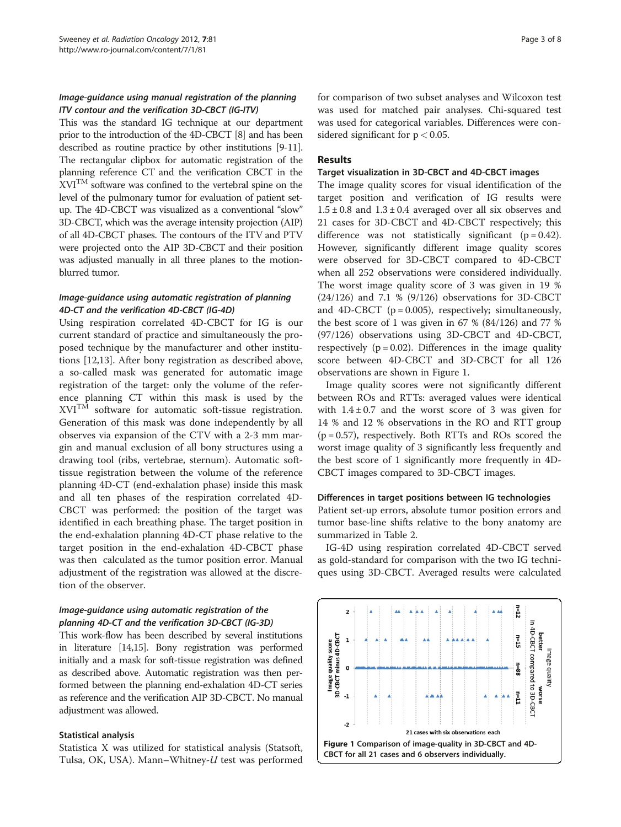# Image-guidance using manual registration of the planning ITV contour and the verification 3D-CBCT (IG-ITV)

This was the standard IG technique at our department prior to the introduction of the 4D-CBCT [\[8\]](#page-7-0) and has been described as routine practice by other institutions [\[9-11](#page-7-0)]. The rectangular clipbox for automatic registration of the planning reference CT and the verification CBCT in the XVITM software was confined to the vertebral spine on the level of the pulmonary tumor for evaluation of patient setup. The 4D-CBCT was visualized as a conventional "slow" 3D-CBCT, which was the average intensity projection (AIP) of all 4D-CBCT phases. The contours of the ITV and PTV were projected onto the AIP 3D-CBCT and their position was adjusted manually in all three planes to the motionblurred tumor.

# Image-guidance using automatic registration of planning 4D-CT and the verification 4D-CBCT (IG-4D)

Using respiration correlated 4D-CBCT for IG is our current standard of practice and simultaneously the proposed technique by the manufacturer and other institutions [\[12,13\]](#page-7-0). After bony registration as described above, a so-called mask was generated for automatic image registration of the target: only the volume of the reference planning CT within this mask is used by the XVITM software for automatic soft-tissue registration. Generation of this mask was done independently by all observes via expansion of the CTV with a 2-3 mm margin and manual exclusion of all bony structures using a drawing tool (ribs, vertebrae, sternum). Automatic softtissue registration between the volume of the reference planning 4D-CT (end-exhalation phase) inside this mask and all ten phases of the respiration correlated 4D-CBCT was performed: the position of the target was identified in each breathing phase. The target position in the end-exhalation planning 4D-CT phase relative to the target position in the end-exhalation 4D-CBCT phase was then calculated as the tumor position error. Manual adjustment of the registration was allowed at the discretion of the observer.

# Image-guidance using automatic registration of the planning 4D-CT and the verification 3D-CBCT (IG-3D)

This work-flow has been described by several institutions in literature [[14,15](#page-7-0)]. Bony registration was performed initially and a mask for soft-tissue registration was defined as described above. Automatic registration was then performed between the planning end-exhalation 4D-CT series as reference and the verification AIP 3D-CBCT. No manual adjustment was allowed.

### Statistical analysis

Statistica X was utilized for statistical analysis (Statsoft, Tulsa, OK, USA). Mann–Whitney-U test was performed for comparison of two subset analyses and Wilcoxon test was used for matched pair analyses. Chi-squared test was used for categorical variables. Differences were considered significant for  $p < 0.05$ .

# Results

#### Target visualization in 3D-CBCT and 4D-CBCT images

The image quality scores for visual identification of the target position and verification of IG results were  $1.5 \pm 0.8$  and  $1.3 \pm 0.4$  averaged over all six observes and 21 cases for 3D-CBCT and 4D-CBCT respectively; this difference was not statistically significant  $(p = 0.42)$ . However, significantly different image quality scores were observed for 3D-CBCT compared to 4D-CBCT when all 252 observations were considered individually. The worst image quality score of 3 was given in 19 % (24/126) and 7.1 % (9/126) observations for 3D-CBCT and 4D-CBCT ( $p = 0.005$ ), respectively; simultaneously, the best score of 1 was given in 67 % (84/126) and 77 % (97/126) observations using 3D-CBCT and 4D-CBCT, respectively  $(p = 0.02)$ . Differences in the image quality score between 4D-CBCT and 3D-CBCT for all 126 observations are shown in Figure 1.

Image quality scores were not significantly different between ROs and RTTs: averaged values were identical with  $1.4 \pm 0.7$  and the worst score of 3 was given for 14 % and 12 % observations in the RO and RTT group  $(p = 0.57)$ , respectively. Both RTTs and ROs scored the worst image quality of 3 significantly less frequently and the best score of 1 significantly more frequently in 4D-CBCT images compared to 3D-CBCT images.

#### Differences in target positions between IG technologies

Patient set-up errors, absolute tumor position errors and tumor base-line shifts relative to the bony anatomy are summarized in Table [2](#page-3-0).

IG-4D using respiration correlated 4D-CBCT served as gold-standard for comparison with the two IG techniques using 3D-CBCT. Averaged results were calculated

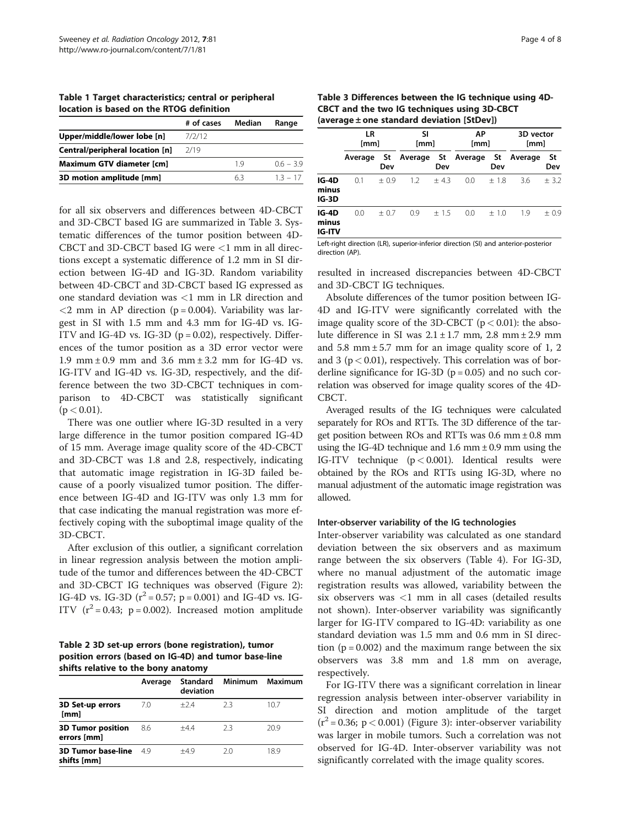<span id="page-3-0"></span>Table 1 Target characteristics; central or peripheral location is based on the RTOG definition

|                                 | # of cases | Median | Range     |
|---------------------------------|------------|--------|-----------|
| Upper/middle/lower lobe [n]     | 7/2/12     |        |           |
| Central/peripheral location [n] | 2/19       |        |           |
| Maximum GTV diameter [cm]       |            | 19     | $06 - 39$ |
| 3D motion amplitude [mm]        |            | 63     | $13 - 17$ |

for all six observers and differences between 4D-CBCT and 3D-CBCT based IG are summarized in Table 3. Systematic differences of the tumor position between 4D-CBCT and 3D-CBCT based IG were  $<$ 1 mm in all directions except a systematic difference of 1.2 mm in SI direction between IG-4D and IG-3D. Random variability between 4D-CBCT and 3D-CBCT based IG expressed as one standard deviation was <1 mm in LR direction and  $<$ 2 mm in AP direction (p = 0.004). Variability was largest in SI with 1.5 mm and 4.3 mm for IG-4D vs. IG-ITV and IG-4D vs. IG-3D ( $p = 0.02$ ), respectively. Differences of the tumor position as a 3D error vector were 1.9 mm  $\pm$  0.9 mm and 3.6 mm  $\pm$  3.2 mm for IG-4D vs. IG-ITV and IG-4D vs. IG-3D, respectively, and the difference between the two 3D-CBCT techniques in comparison to 4D-CBCT was statistically significant  $(p < 0.01)$ .

There was one outlier where IG-3D resulted in a very large difference in the tumor position compared IG-4D of 15 mm. Average image quality score of the 4D-CBCT and 3D-CBCT was 1.8 and 2.8, respectively, indicating that automatic image registration in IG-3D failed because of a poorly visualized tumor position. The difference between IG-4D and IG-ITV was only 1.3 mm for that case indicating the manual registration was more effectively coping with the suboptimal image quality of the 3D-CBCT.

After exclusion of this outlier, a significant correlation in linear regression analysis between the motion amplitude of the tumor and differences between the 4D-CBCT and 3D-CBCT IG techniques was observed (Figure [2](#page-4-0)): IG-4D vs. IG-3D ( $r^2 = 0.57$ ; p = 0.001) and IG-4D vs. IG-ITV  $(r^2 = 0.43; p = 0.002)$ . Increased motion amplitude

Table 2 3D set-up errors (bone registration), tumor position errors (based on IG-4D) and tumor base-line shifts relative to the bony anatomy

|                                          | Average | Standard<br>deviation | Minimum | Maximum |
|------------------------------------------|---------|-----------------------|---------|---------|
| 3D Set-up errors<br>[mm]                 | 7.0     | $+24$                 | フ3      | 10.7    |
| <b>3D Tumor position</b><br>errors [mm]  | 8.6     | $+44$                 | 23      | 20.9    |
| <b>3D Tumor base-line</b><br>shifts [mm] | 49      | $+49$                 | 20      | 18.9    |
|                                          |         |                       |         |         |

Table 3 Differences between the IG technique using 4D-CBCT and the two IG techniques using 3D-CBCT (average ± one standard deviation [StDev])

|                                 | LR<br>[mm] |           | SI<br>[mm] |        | ΑP<br>[mm] |             | 3D vector<br>[mm] |           |
|---------------------------------|------------|-----------|------------|--------|------------|-------------|-------------------|-----------|
|                                 | Average    | St<br>Dev | Average    | Dev    | St Average | - St<br>Dev | Average           | St<br>Dev |
| IG-4D<br>minus<br>$IG-3D$       | 0.1        | $+0.9$    | 1.2        | $+43$  | 0.0        | $+1.8$      | 3.6               | ± 3.2     |
| IG-4D<br>minus<br><b>IG-ITV</b> | 0.0        | $+0.7$    | 0.9        | $+1.5$ | 0.0        | $+1.0$      | 1.9               | $+0.9$    |

Left-right direction (LR), superior-inferior direction (SI) and anterior-posterior direction (AP).

resulted in increased discrepancies between 4D-CBCT and 3D-CBCT IG techniques.

Absolute differences of the tumor position between IG-4D and IG-ITV were significantly correlated with the image quality score of the 3D-CBCT  $(p < 0.01)$ : the absolute difference in SI was  $2.1 \pm 1.7$  mm,  $2.8$  mm  $\pm 2.9$  mm and 5.8 mm  $\pm$  5.7 mm for an image quality score of 1, 2 and 3 ( $p < 0.01$ ), respectively. This correlation was of borderline significance for IG-3D ( $p = 0.05$ ) and no such correlation was observed for image quality scores of the 4D-CBCT.

Averaged results of the IG techniques were calculated separately for ROs and RTTs. The 3D difference of the target position between ROs and RTTs was  $0.6$  mm  $\pm 0.8$  mm using the IG-4D technique and 1.6 mm  $\pm$  0.9 mm using the IG-ITV technique  $(p < 0.001)$ . Identical results were obtained by the ROs and RTTs using IG-3D, where no manual adjustment of the automatic image registration was allowed.

### Inter-observer variability of the IG technologies

Inter-observer variability was calculated as one standard deviation between the six observers and as maximum range between the six observers (Table [4\)](#page-5-0). For IG-3D, where no manual adjustment of the automatic image registration results was allowed, variability between the six observers was <1 mm in all cases (detailed results not shown). Inter-observer variability was significantly larger for IG-ITV compared to IG-4D: variability as one standard deviation was 1.5 mm and 0.6 mm in SI direction ( $p = 0.002$ ) and the maximum range between the six observers was 3.8 mm and 1.8 mm on average, respectively.

For IG-ITV there was a significant correlation in linear regression analysis between inter-observer variability in SI direction and motion amplitude of the target  $(r^2 = 0.36; p < 0.001)$  (Figure [3\)](#page-5-0): inter-observer variability was larger in mobile tumors. Such a correlation was not observed for IG-4D. Inter-observer variability was not significantly correlated with the image quality scores.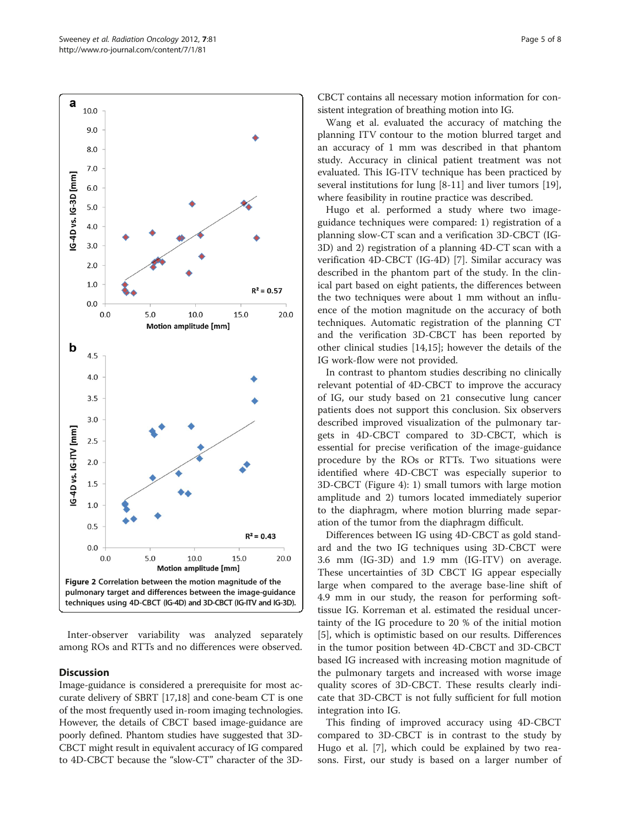<span id="page-4-0"></span>

Inter-observer variability was analyzed separately among ROs and RTTs and no differences were observed.

# **Discussion**

Image-guidance is considered a prerequisite for most accurate delivery of SBRT [\[17,18](#page-7-0)] and cone-beam CT is one of the most frequently used in-room imaging technologies. However, the details of CBCT based image-guidance are poorly defined. Phantom studies have suggested that 3D-CBCT might result in equivalent accuracy of IG compared to 4D-CBCT because the "slow-CT" character of the 3D-

CBCT contains all necessary motion information for consistent integration of breathing motion into IG.

Wang et al. evaluated the accuracy of matching the planning ITV contour to the motion blurred target and an accuracy of 1 mm was described in that phantom study. Accuracy in clinical patient treatment was not evaluated. This IG-ITV technique has been practiced by several institutions for lung [\[8-11](#page-7-0)] and liver tumors [\[19](#page-7-0)], where feasibility in routine practice was described.

Hugo et al. performed a study where two imageguidance techniques were compared: 1) registration of a planning slow-CT scan and a verification 3D-CBCT (IG-3D) and 2) registration of a planning 4D-CT scan with a verification 4D-CBCT (IG-4D) [\[7](#page-7-0)]. Similar accuracy was described in the phantom part of the study. In the clinical part based on eight patients, the differences between the two techniques were about 1 mm without an influence of the motion magnitude on the accuracy of both techniques. Automatic registration of the planning CT and the verification 3D-CBCT has been reported by other clinical studies [\[14,15\]](#page-7-0); however the details of the IG work-flow were not provided.

In contrast to phantom studies describing no clinically relevant potential of 4D-CBCT to improve the accuracy of IG, our study based on 21 consecutive lung cancer patients does not support this conclusion. Six observers described improved visualization of the pulmonary targets in 4D-CBCT compared to 3D-CBCT, which is essential for precise verification of the image-guidance procedure by the ROs or RTTs. Two situations were identified where 4D-CBCT was especially superior to 3D-CBCT (Figure [4](#page-6-0)): 1) small tumors with large motion amplitude and 2) tumors located immediately superior to the diaphragm, where motion blurring made separation of the tumor from the diaphragm difficult.

Differences between IG using 4D-CBCT as gold standard and the two IG techniques using 3D-CBCT were 3.6 mm (IG-3D) and 1.9 mm (IG-ITV) on average. These uncertainties of 3D CBCT IG appear especially large when compared to the average base-line shift of 4.9 mm in our study, the reason for performing softtissue IG. Korreman et al. estimated the residual uncertainty of the IG procedure to 20 % of the initial motion [[5\]](#page-7-0), which is optimistic based on our results. Differences in the tumor position between 4D-CBCT and 3D-CBCT based IG increased with increasing motion magnitude of the pulmonary targets and increased with worse image quality scores of 3D-CBCT. These results clearly indicate that 3D-CBCT is not fully sufficient for full motion integration into IG.

This finding of improved accuracy using 4D-CBCT compared to 3D-CBCT is in contrast to the study by Hugo et al. [[7\]](#page-7-0), which could be explained by two reasons. First, our study is based on a larger number of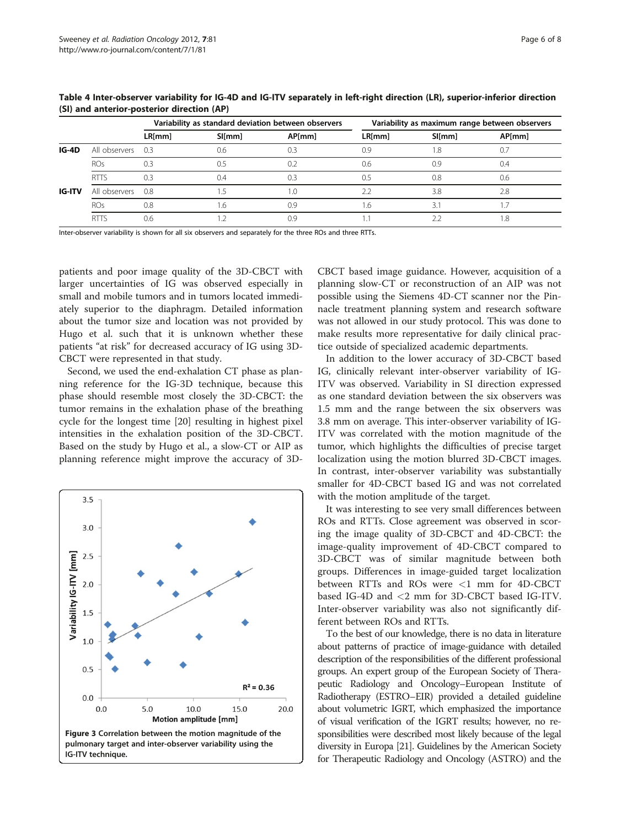|        |                   | Variability as standard deviation between observers |        |                | Variability as maximum range between observers |        |                 |
|--------|-------------------|-----------------------------------------------------|--------|----------------|------------------------------------------------|--------|-----------------|
|        |                   | LR[mm]                                              | SI[mm] | <b>AP</b> [mm] | LR[mm]                                         | SI[mm] | AP[mm]          |
| IG-4D  | All observers 0.3 |                                                     | 0.6    | 0.3            | 0.9                                            | .8     | 0.7             |
|        | <b>ROs</b>        | 0.3                                                 | 0.5    | 0.2            | 0.6                                            | 0.9    | 0.4             |
|        | <b>RTTS</b>       | 0.3                                                 | 0.4    | 0.3            | ).5                                            | 0.8    | 0.6             |
| IG-ITV | All observers 0.8 |                                                     |        | 1.0            |                                                | 3.8    | 2.8             |
|        | <b>ROs</b>        | 0.8                                                 | .6     | 0.9            | .6                                             | 3.1    |                 |
|        | <b>RTTS</b>       | 0.6                                                 |        | 0.9            |                                                |        | .8 <sub>1</sub> |

<span id="page-5-0"></span>Table 4 Inter-observer variability for IG-4D and IG-ITV separately in left-right direction (LR), superior-inferior direction (SI) and anterior-posterior direction (AP)

Inter-observer variability is shown for all six observers and separately for the three ROs and three RTTs.

patients and poor image quality of the 3D-CBCT with larger uncertainties of IG was observed especially in small and mobile tumors and in tumors located immediately superior to the diaphragm. Detailed information about the tumor size and location was not provided by Hugo et al. such that it is unknown whether these patients "at risk" for decreased accuracy of IG using 3D-CBCT were represented in that study.

Second, we used the end-exhalation CT phase as planning reference for the IG-3D technique, because this phase should resemble most closely the 3D-CBCT: the tumor remains in the exhalation phase of the breathing cycle for the longest time [\[20](#page-7-0)] resulting in highest pixel intensities in the exhalation position of the 3D-CBCT. Based on the study by Hugo et al., a slow-CT or AIP as planning reference might improve the accuracy of 3D-



CBCT based image guidance. However, acquisition of a planning slow-CT or reconstruction of an AIP was not possible using the Siemens 4D-CT scanner nor the Pinnacle treatment planning system and research software was not allowed in our study protocol. This was done to make results more representative for daily clinical practice outside of specialized academic departments.

In addition to the lower accuracy of 3D-CBCT based IG, clinically relevant inter-observer variability of IG-ITV was observed. Variability in SI direction expressed as one standard deviation between the six observers was 1.5 mm and the range between the six observers was 3.8 mm on average. This inter-observer variability of IG-ITV was correlated with the motion magnitude of the tumor, which highlights the difficulties of precise target localization using the motion blurred 3D-CBCT images. In contrast, inter-observer variability was substantially smaller for 4D-CBCT based IG and was not correlated with the motion amplitude of the target.

It was interesting to see very small differences between ROs and RTTs. Close agreement was observed in scoring the image quality of 3D-CBCT and 4D-CBCT: the image-quality improvement of 4D-CBCT compared to 3D-CBCT was of similar magnitude between both groups. Differences in image-guided target localization between RTTs and ROs were <1 mm for 4D-CBCT based IG-4D and <2 mm for 3D-CBCT based IG-ITV. Inter-observer variability was also not significantly different between ROs and RTTs.

To the best of our knowledge, there is no data in literature about patterns of practice of image-guidance with detailed description of the responsibilities of the different professional groups. An expert group of the European Society of Therapeutic Radiology and Oncology–European Institute of Radiotherapy (ESTRO–EIR) provided a detailed guideline about volumetric IGRT, which emphasized the importance of visual verification of the IGRT results; however, no responsibilities were described most likely because of the legal diversity in Europa [\[21](#page-7-0)]. Guidelines by the American Society for Therapeutic Radiology and Oncology (ASTRO) and the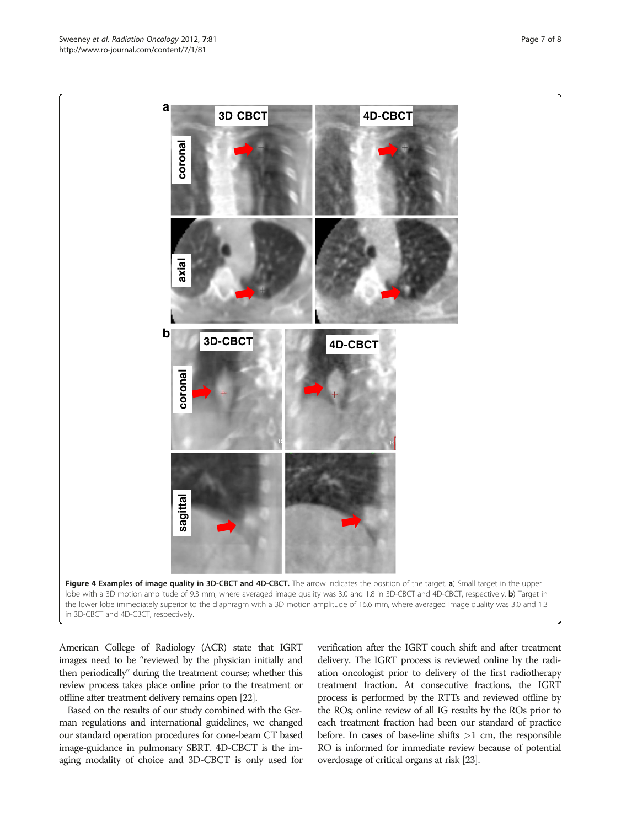American College of Radiology (ACR) state that IGRT images need to be "reviewed by the physician initially and then periodically" during the treatment course; whether this review process takes place online prior to the treatment or offline after treatment delivery remains open [\[22\]](#page-7-0).

Based on the results of our study combined with the German regulations and international guidelines, we changed our standard operation procedures for cone-beam CT based image-guidance in pulmonary SBRT. 4D-CBCT is the imaging modality of choice and 3D-CBCT is only used for verification after the IGRT couch shift and after treatment delivery. The IGRT process is reviewed online by the radiation oncologist prior to delivery of the first radiotherapy treatment fraction. At consecutive fractions, the IGRT process is performed by the RTTs and reviewed offline by the ROs; online review of all IG results by the ROs prior to each treatment fraction had been our standard of practice before. In cases of base-line shifts  $>1$  cm, the responsible RO is informed for immediate review because of potential overdosage of critical organs at risk [\[23\]](#page-7-0).

<span id="page-6-0"></span>